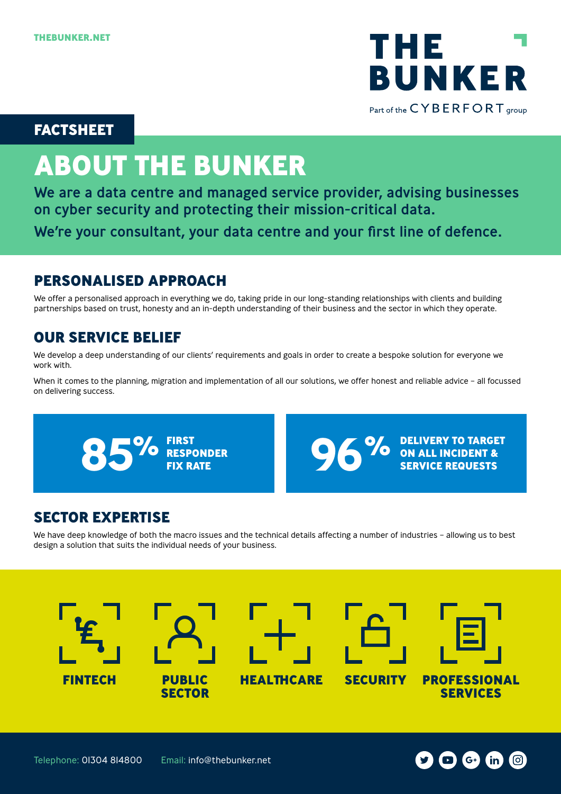

### **FACTSHEET**

# **ABOUT THE BUNKER**

We are a data centre and managed service provider, advising businesses on cyber security and protecting their mission-critical data. We're your consultant, your data centre and your first line of defence.

## **PERSONALISED APPROACH**

We offer a personalised approach in everything we do, taking pride in our long-standing relationships with clients and building partnerships based on trust, honesty and an in-depth understanding of their business and the sector in which they operate.

## **OUR SERVICE BELIEF**

We develop a deep understanding of our clients' requirements and goals in order to create a bespoke solution for everyone we work with.

When it comes to the planning, migration and implementation of all our solutions, we offer honest and reliable advice - all focussed on delivering success.





## **SECTOR EXPERTISE**

We have deep knowledge of both the macro issues and the technical details affecting a number of industries - allowing us to best design a solution that suits the individual needs of your business.



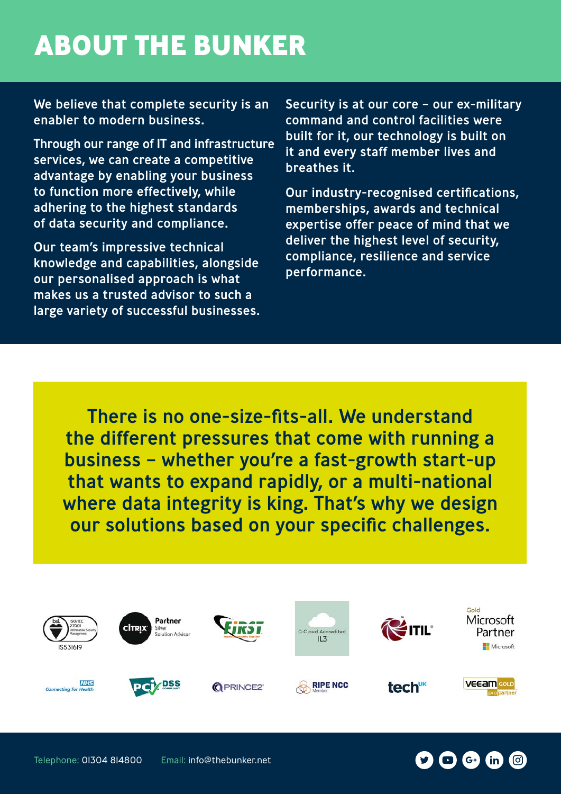# **ABOUT THE BUNKER**

We believe that complete security is an enabler to modern business.

Through our range of IT and infrastructure services, we can create a competitive advantage by enabling your business to function more effectively, while adhering to the highest standards of data security and compliance.

Our team's impressive technical knowledge and capabilities, alongside our personalised approach is what makes us a trusted advisor to such a large variety of successful businesses.

Security is at our core – our ex-military command and control facilities were built for it, our technology is built on it and every staff member lives and breathes it.

Our industry-recognised certifications, memberships, awards and technical expertise offer peace of mind that we deliver the highest level of security, compliance, resilience and service performance.

There is no one-size-fits-all. We understand the different pressures that come with running a business – whether you're a fast-growth start-up that wants to expand rapidly, or a multi-national where data integrity is king. That's why we design our solutions based on your specific challenges.